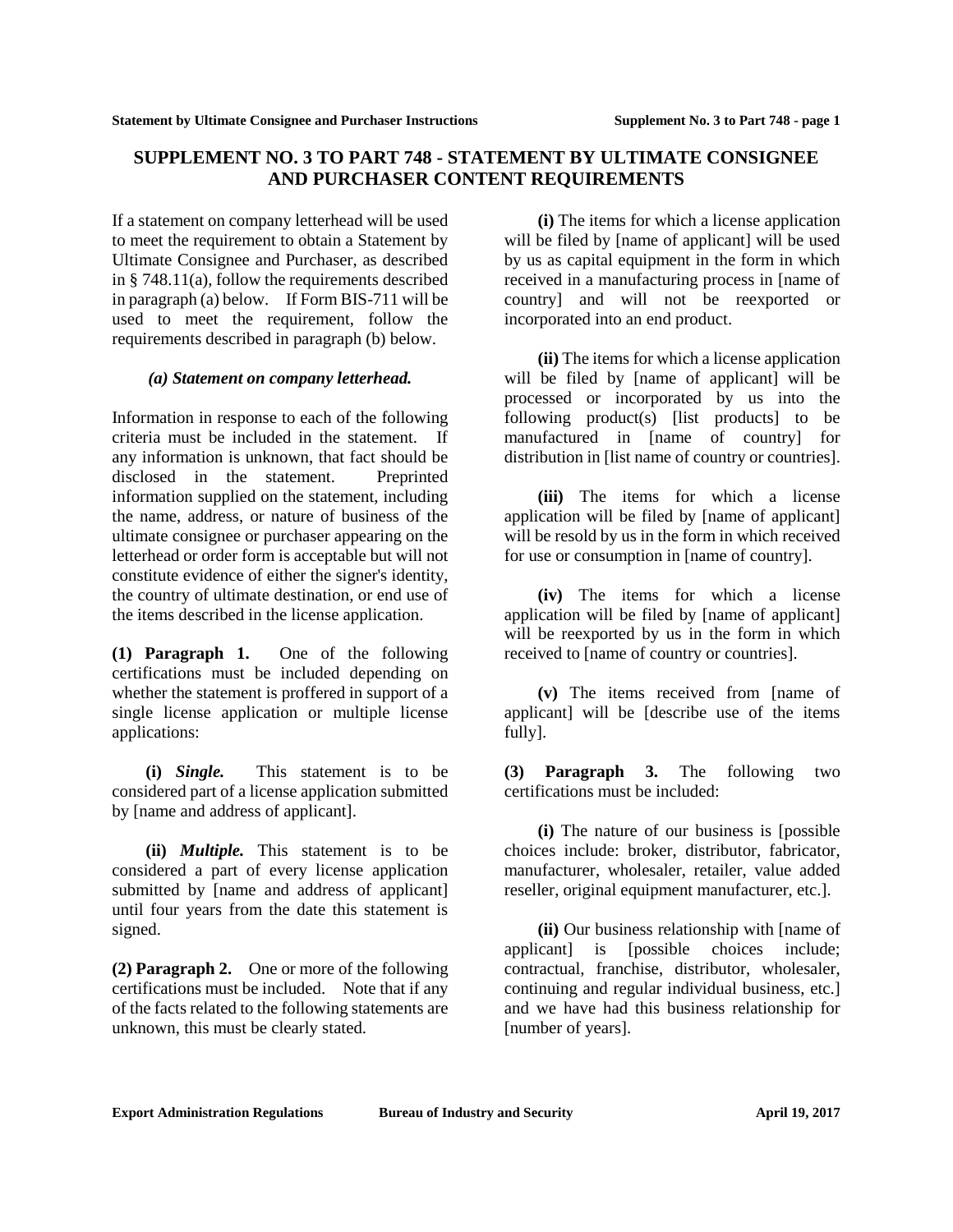## **SUPPLEMENT NO. 3 TO PART 748 - STATEMENT BY ULTIMATE CONSIGNEE AND PURCHASER CONTENT REQUIREMENTS**

If a statement on company letterhead will be used to meet the requirement to obtain a Statement by Ultimate Consignee and Purchaser, as described in § 748.11(a), follow the requirements described in paragraph (a) below. If Form BIS-711 will be used to meet the requirement, follow the requirements described in paragraph (b) below.

## *(a) Statement on company letterhead.*

Information in response to each of the following criteria must be included in the statement. If any information is unknown, that fact should be disclosed in the statement. Preprinted information supplied on the statement, including the name, address, or nature of business of the ultimate consignee or purchaser appearing on the letterhead or order form is acceptable but will not constitute evidence of either the signer's identity, the country of ultimate destination, or end use of the items described in the license application.

**(1) Paragraph 1.** One of the following certifications must be included depending on whether the statement is proffered in support of a single license application or multiple license applications:

**(i)** *Single.* This statement is to be considered part of a license application submitted by [name and address of applicant].

**(ii)** *Multiple.* This statement is to be considered a part of every license application submitted by [name and address of applicant] until four years from the date this statement is signed.

**(2) Paragraph 2.** One or more of the following certifications must be included. Note that if any of the facts related to the following statements are unknown, this must be clearly stated.

**(i)** The items for which a license application will be filed by [name of applicant] will be used by us as capital equipment in the form in which received in a manufacturing process in [name of country] and will not be reexported or incorporated into an end product.

**(ii)** The items for which a license application will be filed by [name of applicant] will be processed or incorporated by us into the following product(s) [list products] to be manufactured in [name of country] for distribution in [list name of country or countries].

**(iii)** The items for which a license application will be filed by [name of applicant] will be resold by us in the form in which received for use or consumption in [name of country].

**(iv)** The items for which a license application will be filed by [name of applicant] will be reexported by us in the form in which received to [name of country or countries].

**(v)** The items received from [name of applicant] will be [describe use of the items fully].

**(3) Paragraph 3.** The following two certifications must be included:

**(i)** The nature of our business is [possible choices include: broker, distributor, fabricator, manufacturer, wholesaler, retailer, value added reseller, original equipment manufacturer, etc.].

**(ii)** Our business relationship with [name of applicant] is [possible choices include; contractual, franchise, distributor, wholesaler, continuing and regular individual business, etc.] and we have had this business relationship for [number of years].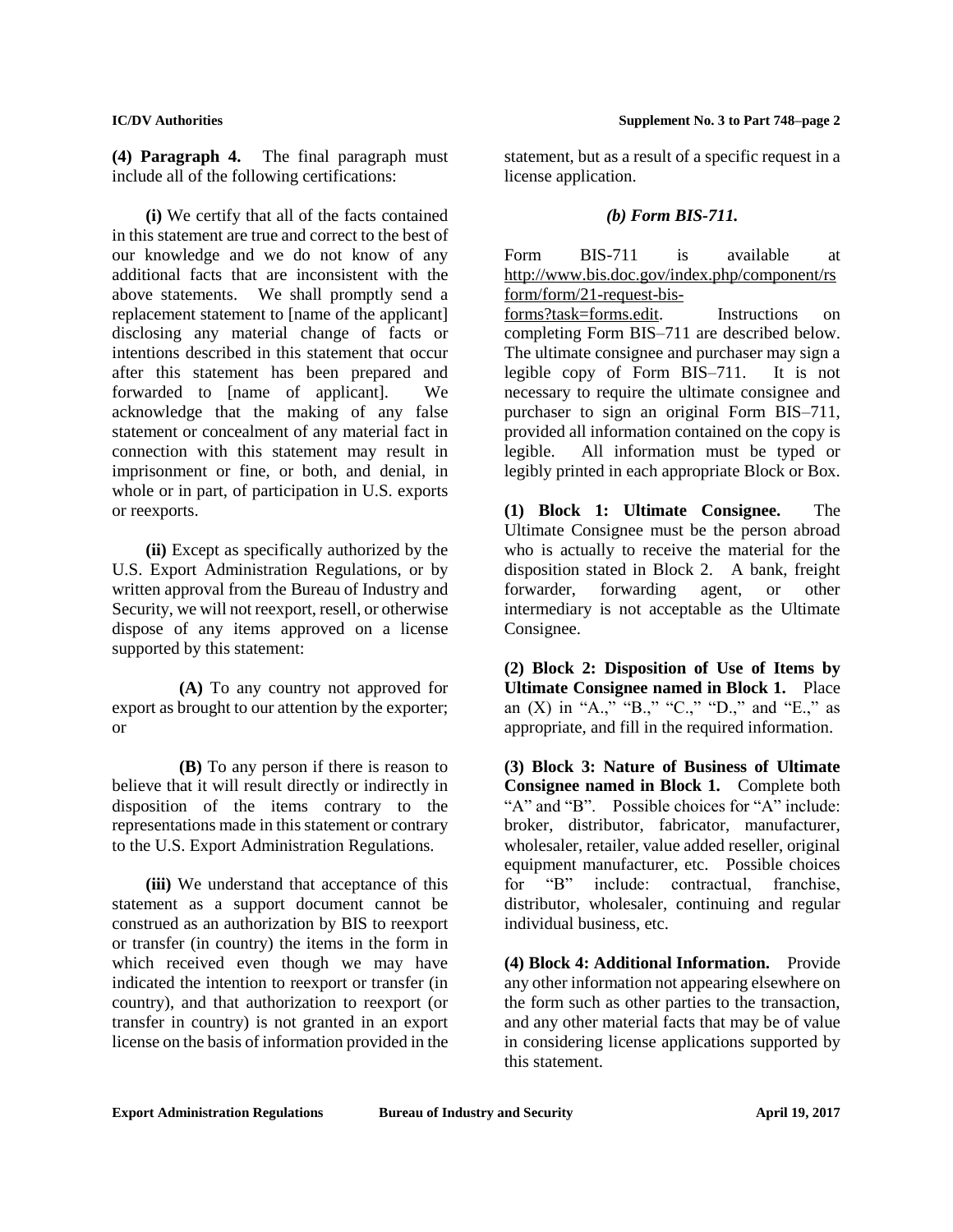**(4) Paragraph 4.** The final paragraph must include all of the following certifications:

**(i)** We certify that all of the facts contained in this statement are true and correct to the best of our knowledge and we do not know of any additional facts that are inconsistent with the above statements. We shall promptly send a replacement statement to [name of the applicant] disclosing any material change of facts or intentions described in this statement that occur after this statement has been prepared and forwarded to [name of applicant]. We acknowledge that the making of any false statement or concealment of any material fact in connection with this statement may result in imprisonment or fine, or both, and denial, in whole or in part, of participation in U.S. exports or reexports.

**(ii)** Except as specifically authorized by the U.S. Export Administration Regulations, or by written approval from the Bureau of Industry and Security, we will not reexport, resell, or otherwise dispose of any items approved on a license supported by this statement:

**(A)** To any country not approved for export as brought to our attention by the exporter; or

**(B)** To any person if there is reason to believe that it will result directly or indirectly in disposition of the items contrary to the representations made in this statement or contrary to the U.S. Export Administration Regulations.

**(iii)** We understand that acceptance of this statement as a support document cannot be construed as an authorization by BIS to reexport or transfer (in country) the items in the form in which received even though we may have indicated the intention to reexport or transfer (in country), and that authorization to reexport (or transfer in country) is not granted in an export license on the basis of information provided in the

statement, but as a result of a specific request in a license application.

## *(b) Form BIS-711.*

Form BIS-711 is available at http://www.bis.doc.gov/index.php/component/rs form/form/21-request-bisforms?task=forms.edit. Instructions on completing Form BIS–711 are described below. The ultimate consignee and purchaser may sign a legible copy of Form BIS–711. It is not necessary to require the ultimate consignee and purchaser to sign an original Form BIS–711, provided all information contained on the copy is legible. All information must be typed or legibly printed in each appropriate Block or Box.

**(1) Block 1: Ultimate Consignee.** The Ultimate Consignee must be the person abroad who is actually to receive the material for the disposition stated in Block 2. A bank, freight forwarder, forwarding agent, or other intermediary is not acceptable as the Ultimate Consignee.

**(2) Block 2: Disposition of Use of Items by Ultimate Consignee named in Block 1.** Place an  $(X)$  in "A.," "B.," "C.," "D.," and "E.," as appropriate, and fill in the required information.

**(3) Block 3: Nature of Business of Ultimate Consignee named in Block 1.** Complete both "A" and "B". Possible choices for "A" include: broker, distributor, fabricator, manufacturer, wholesaler, retailer, value added reseller, original equipment manufacturer, etc. Possible choices for "B" include: contractual, franchise, distributor, wholesaler, continuing and regular individual business, etc.

**(4) Block 4: Additional Information.** Provide any other information not appearing elsewhere on the form such as other parties to the transaction, and any other material facts that may be of value in considering license applications supported by this statement.